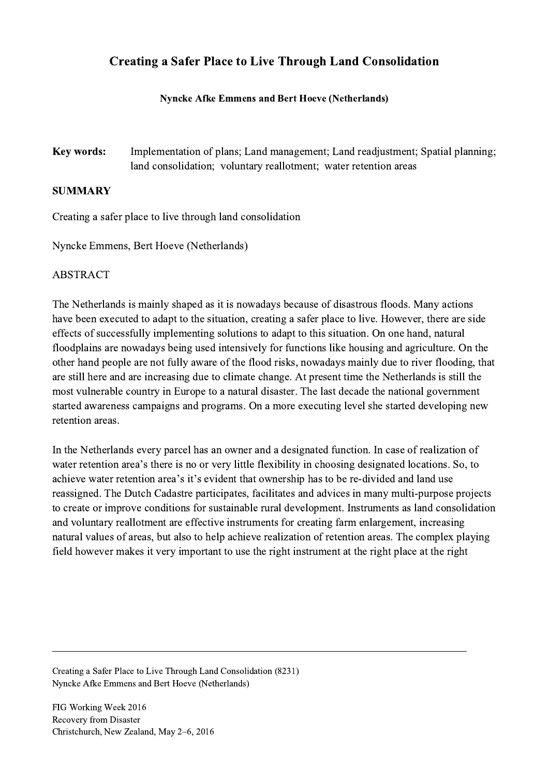## Creating a Safer Place to Live Through Land Consolidation

## Nyncke Afke Emmens and Bert Hoeve (Netherlands)

Key words: Implementation of plans; Land management; Land readjustment; Spatial planning; land consolidation; voluntary reallotment; water retention areas

## SUMMARY

Creating a safer place to live through land consolidation

Nyncke Emmens, Bert Hoeve (Netherlands)

## ABSTRACT

The Netherlands is mainly shaped as it is nowadays because of disastrous floods. Many actions have been executed to adapt to the situation, creating a safer place to live. However, there are side effects of successfully implementing solutions to adapt to this situation. On one hand, natural floodplains are nowadays being used intensively for functions like housing and agriculture. On the other hand people are not fully aware of the flood risks, nowadays mainly due to river flooding, that are still here and are increasing due to climate change. At present time the Netherlands is still the most vulnerable country in Europe to a natural disaster. The last decade the national government started awareness campaigns and programs. On a more executing level she started developing new retention areas.

In the Netherlands every parcel has an owner and a designated function. In case of realization of water retention area's there is no or very little flexibility in choosing designated locations. So, to achieve water retention area's it's evident that ownership has to be re-divided and land use reassigned. The Dutch Cadastre participates, facilitates and advices in many multi-purpose projects to create or improve conditions for sustainable rural development. Instruments as land consolidation and voluntary reallotment are effective instruments for creating farm enlargement, increasing natural values of areas, but also to help achieve realization of retention areas. The complex playing field however makes it very important to use the right instrument at the right place at the right

 $\mathcal{L}_\mathcal{L} = \{ \mathcal{L}_\mathcal{L} = \{ \mathcal{L}_\mathcal{L} = \{ \mathcal{L}_\mathcal{L} = \{ \mathcal{L}_\mathcal{L} = \{ \mathcal{L}_\mathcal{L} = \{ \mathcal{L}_\mathcal{L} = \{ \mathcal{L}_\mathcal{L} = \{ \mathcal{L}_\mathcal{L} = \{ \mathcal{L}_\mathcal{L} = \{ \mathcal{L}_\mathcal{L} = \{ \mathcal{L}_\mathcal{L} = \{ \mathcal{L}_\mathcal{L} = \{ \mathcal{L}_\mathcal{L} = \{ \mathcal{L}_\mathcal{$ 

Creating a Safer Place to Live Through Land Consolidation (8231) Nyncke Afke Emmens and Bert Hoeve (Netherlands)

FIG Working Week 2016 Recovery from Disaster Christchurch, New Zealand, May 2–6, 2016